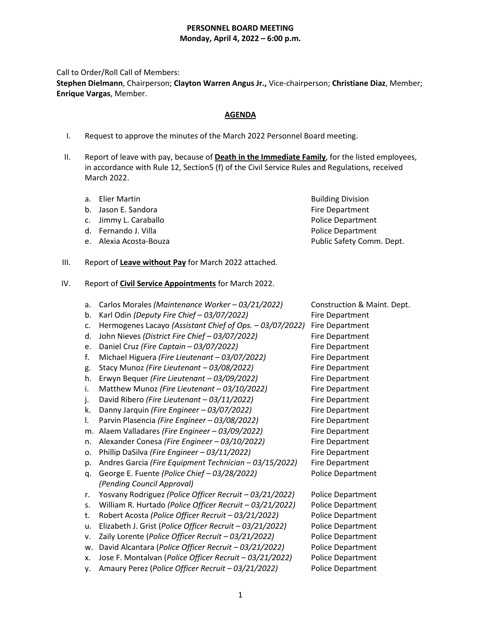Call to Order/Roll Call of Members:

**Stephen Dielmann**, Chairperson; **Clayton Warren Angus Jr.,** Vice-chairperson; **Christiane Diaz**, Member; **Enrique Vargas**, Member.

# **AGENDA**

- I. Request to approve the minutes of the March 2022 Personnel Board meeting.
- II. Report of leave with pay, because of **Death in the Immediate Family**, for the listed employees, in accordance with Rule 12, Section5 (f) of the Civil Service Rules and Regulations, received March 2022.
	- a. Elier Martin **Building Division** Building Division
	- b. Jason E. Sandora **Fire Department**
	- c. Jimmy L. Caraballo **Police Department**
	- d. Fernando J. Villa **Police Department**
	-
	- e. Alexia Acosta-Bouza **Public Safety Comm. Dept.**
- III. Report of **Leave without Pay** for March 2022 attached.
- IV. Report of **Civil Service Appointments** for March 2022.

| a. | Carlos Morales (Maintenance Worker - 03/21/2022)         | Construction & Maint. Dept. |
|----|----------------------------------------------------------|-----------------------------|
| b. | Karl Odin (Deputy Fire Chief - 03/07/2022)               | <b>Fire Department</b>      |
| c. | Hermogenes Lacayo (Assistant Chief of Ops. - 03/07/2022) | Fire Department             |
| d. | John Nieves (District Fire Chief - 03/07/2022)           | <b>Fire Department</b>      |
| e. | Daniel Cruz (Fire Captain - 03/07/2022)                  | <b>Fire Department</b>      |
| f. | Michael Higuera (Fire Lieutenant - 03/07/2022)           | <b>Fire Department</b>      |
| g. | Stacy Munoz (Fire Lieutenant - 03/08/2022)               | <b>Fire Department</b>      |
| h. | Erwyn Bequer (Fire Lieutenant - 03/09/2022)              | <b>Fire Department</b>      |
| i. | Matthew Munoz (Fire Lieutenant - 03/10/2022)             | <b>Fire Department</b>      |
| j. | David Ribero (Fire Lieutenant - 03/11/2022)              | <b>Fire Department</b>      |
| k. | Danny Jarquin (Fire Engineer - 03/07/2022)               | <b>Fire Department</b>      |
| I. | Parvin Plasencia (Fire Engineer - 03/08/2022)            | <b>Fire Department</b>      |
| m. | Alaem Valladares (Fire Engineer - 03/09/2022)            | <b>Fire Department</b>      |
| n. | Alexander Conesa (Fire Engineer - 03/10/2022)            | <b>Fire Department</b>      |
| о. | Phillip DaSilva (Fire Engineer - 03/11/2022)             | <b>Fire Department</b>      |
| p. | Andres Garcia (Fire Equipment Technician - 03/15/2022)   | <b>Fire Department</b>      |
| q. | George E. Fuente (Police Chief - 03/28/2022)             | Police Department           |
|    | (Pending Council Approval)                               |                             |
| r. | Yosvany Rodriguez (Police Officer Recruit - 03/21/2022)  | <b>Police Department</b>    |
| s. | William R. Hurtado (Police Officer Recruit - 03/21/2022) | Police Department           |
| t. | Robert Acosta (Police Officer Recruit - 03/21/2022)      | <b>Police Department</b>    |
| u. | Elizabeth J. Grist (Police Officer Recruit - 03/21/2022) | Police Department           |
| ٧. | Zaily Lorente (Police Officer Recruit - 03/21/2022)      | Police Department           |
| w. | David Alcantara (Police Officer Recruit - 03/21/2022)    | <b>Police Department</b>    |
| x. | Jose F. Montalvan (Police Officer Recruit - 03/21/2022)  | <b>Police Department</b>    |
| у. | Amaury Perez (Police Officer Recruit - 03/21/2022)       | Police Department           |
|    |                                                          |                             |
|    | 1                                                        |                             |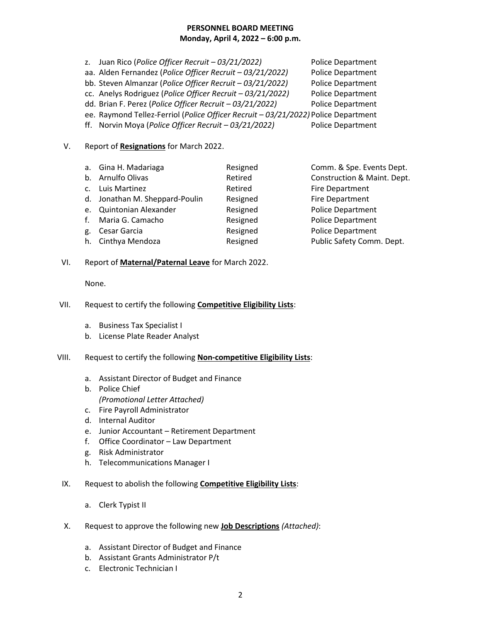- z. Juan Rico (*Police Officer Recruit – 03/21/2022)* Police Department
- aa. Alden Fernandez (*Police Officer Recruit – 03/21/2022)* Police Department
- bb. Steven Almanzar (*Police Officer Recruit – 03/21/2022)* Police Department
- cc. Anelys Rodriguez (*Police Officer Recruit – 03/21/2022)* Police Department
- dd. Brian F. Perez (*Police Officer Recruit – 03/21/2022)* Police Department
- ee. Raymond Tellez-Ferriol (*Police Officer Recruit – 03/21/2022)* Police Department
- ff. Norvin Moya (*Police Officer Recruit – 03/21/2022)* Police Department

### V. Report of **Resignations** for March 2022.

|    | a. Gina H. Madariaga           | Resigned | Comm. & Spe. Events Dept.   |
|----|--------------------------------|----------|-----------------------------|
|    | b. Arnulfo Olivas              | Retired  | Construction & Maint. Dept. |
|    | c. Luis Martinez               | Retired  | Fire Department             |
|    | d. Jonathan M. Sheppard-Poulin | Resigned | Fire Department             |
|    | e. Quintonian Alexander        | Resigned | <b>Police Department</b>    |
|    | f. Maria G. Camacho            | Resigned | <b>Police Department</b>    |
| g. | Cesar Garcia                   | Resigned | <b>Police Department</b>    |
|    | h. Cinthya Mendoza             | Resigned | Public Safety Comm. Dept.   |
|    |                                |          |                             |

VI. Report of **Maternal/Paternal Leave** for March 2022.

None.

### VII. Request to certify the following **Competitive Eligibility Lists**:

- a. Business Tax Specialist I
- b. License Plate Reader Analyst

## VIII. Request to certify the following **Non-competitive Eligibility Lists**:

- a. Assistant Director of Budget and Finance
- b. Police Chief *(Promotional Letter Attached)*
- c. Fire Payroll Administrator
- d. Internal Auditor
- e. Junior Accountant Retirement Department
- f. Office Coordinator Law Department
- g. Risk Administrator
- h. Telecommunications Manager I
- IX. Request to abolish the following **Competitive Eligibility Lists**:
	- a. Clerk Typist II
- X. Request to approve the following new **Job Descriptions** *(Attached)*:
	- a. Assistant Director of Budget and Finance
	- b. Assistant Grants Administrator P/t
	- c. Electronic Technician I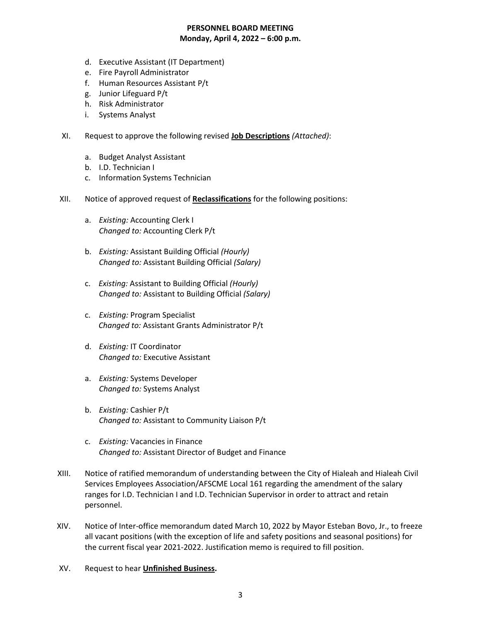- d. Executive Assistant (IT Department)
- e. Fire Payroll Administrator
- f. Human Resources Assistant P/t
- g. Junior Lifeguard P/t
- h. Risk Administrator
- i. Systems Analyst
- XI. Request to approve the following revised **Job Descriptions** *(Attached)*:
	- a. Budget Analyst Assistant
	- b. I.D. Technician I
	- c. Information Systems Technician
- XII. Notice of approved request of **Reclassifications** for the following positions:
	- a. *Existing:* Accounting Clerk I *Changed to:* Accounting Clerk P/t
	- b. *Existing:* Assistant Building Official *(Hourly) Changed to:* Assistant Building Official *(Salary)*
	- c. *Existing:* Assistant to Building Official *(Hourly) Changed to:* Assistant to Building Official *(Salary)*
	- c. *Existing:* Program Specialist *Changed to:* Assistant Grants Administrator P/t
	- d. *Existing:* IT Coordinator *Changed to:* Executive Assistant
	- a. *Existing:* Systems Developer *Changed to:* Systems Analyst
	- b. *Existing:* Cashier P/t *Changed to:* Assistant to Community Liaison P/t
	- c. *Existing:* Vacancies in Finance *Changed to:* Assistant Director of Budget and Finance
- XIII. Notice of ratified memorandum of understanding between the City of Hialeah and Hialeah Civil Services Employees Association/AFSCME Local 161 regarding the amendment of the salary ranges for I.D. Technician I and I.D. Technician Supervisor in order to attract and retain personnel.
- XIV. Notice of Inter-office memorandum dated March 10, 2022 by Mayor Esteban Bovo, Jr., to freeze all vacant positions (with the exception of life and safety positions and seasonal positions) for the current fiscal year 2021-2022. Justification memo is required to fill position.
- XV. Request to hear **Unfinished Business.**